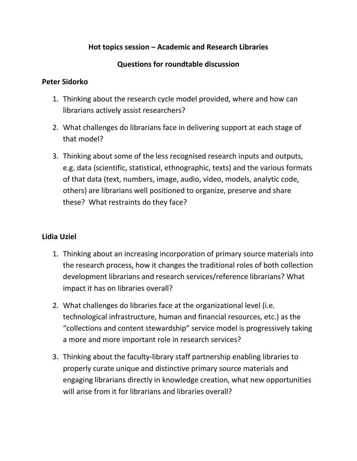# **Hot topics session – Academic and Research Libraries**

## **Questions for roundtable discussion**

#### **Peter Sidorko**

- 1. Thinking about the research cycle model provided, where and how can librarians actively assist researchers?
- 2. What challenges do librarians face in delivering support at each stage of that model?
- 3. Thinking about some of the less recognised research inputs and outputs, e.g. data (scientific, statistical, ethnographic, texts) and the various formats of that data (text, numbers, image, audio, video, models, analytic code, others) are librarians well positioned to organize, preserve and share these? What restraints do they face?

### **Lidia Uziel**

- 1. Thinking about an increasing incorporation of primary source materials into the research process, how it changes the traditional roles of both collection development librarians and research services/reference librarians? What impact it has on libraries overall?
- 2. What challenges do libraries face at the organizational level (i.e. technological infrastructure, human and financial resources, etc.) as the "collections and content stewardship" service model is progressively taking a more and more important role in research services?
- 3. Thinking about the faculty-library staff partnership enabling libraries to properly curate unique and distinctive primary source materials and engaging librarians directly in knowledge creation, what new opportunities will arise from it for librarians and libraries overall?